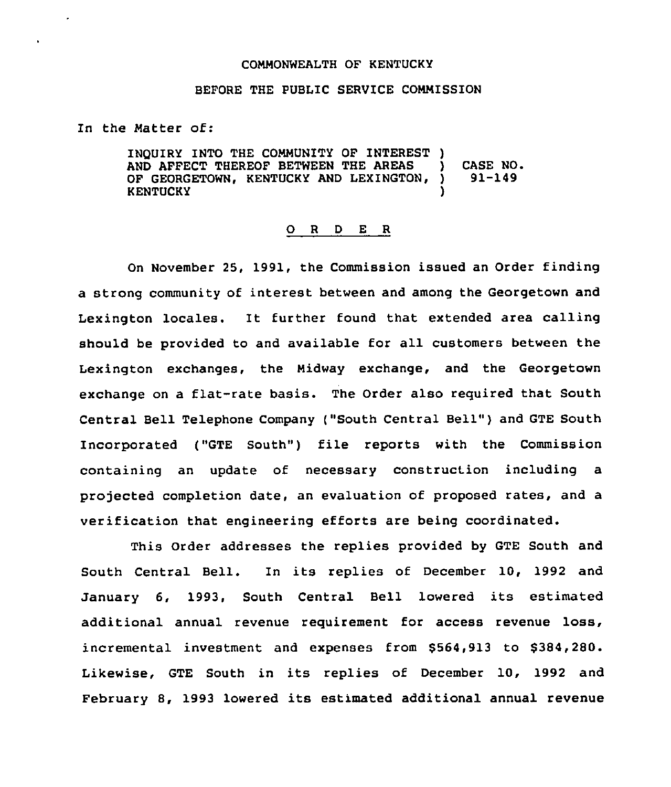## COMMONWEALTH OF KENTUCKY

## BEFORE THE PUBLIC SERVICE COMMISSION

In the Matter of:

 $\cdot$ 

INQUIRY INTO THE COMMUNITY OP INTEREST ) AND AFFECT THEREOF BETWEEN THE AREAS ) CASE NO.<br>OF GEORGETOWN, KENTUCKY AND LEXINGTON, ) 91-149 OF GEORGETOWN, KENTUCKY AND LEXINGTON, **KENTUCKY** 

## 0 <sup>R</sup> <sup>D</sup> <sup>E</sup> <sup>R</sup>

On November 25, 1991, the Commission issued an Order finding a strong community of interest between and among the Georgetown and Lexington locales. It further found that extended area calling should be provided to and available for all customers between the Lexington exchanges, the Midway exchange, and the Georgetown exchange on a flat-rate basis. The Order also required that South Central Bell Telephone Company ("South Central Bell") and GTE South Incorporated ("GTE South") file reports with the Commission containing an update of necessary construction including a projected completion date, an evaluation of proposed rates, and a verification that engineering efforts are being coordinated.

This Order addresses the replies provided by GTE South and South Central Bell. In its replies of December 10, 1992 and January 6, 1993, South Central Bell lowered its estimated additional annual revenue requirement for access revenue loss, incremental investment and expenses from \$564,913 to \$384,280. Likewise, GTE South in its replies of December 10, 1992 and February 8, 1993 lowered its estrmated additional annual revenue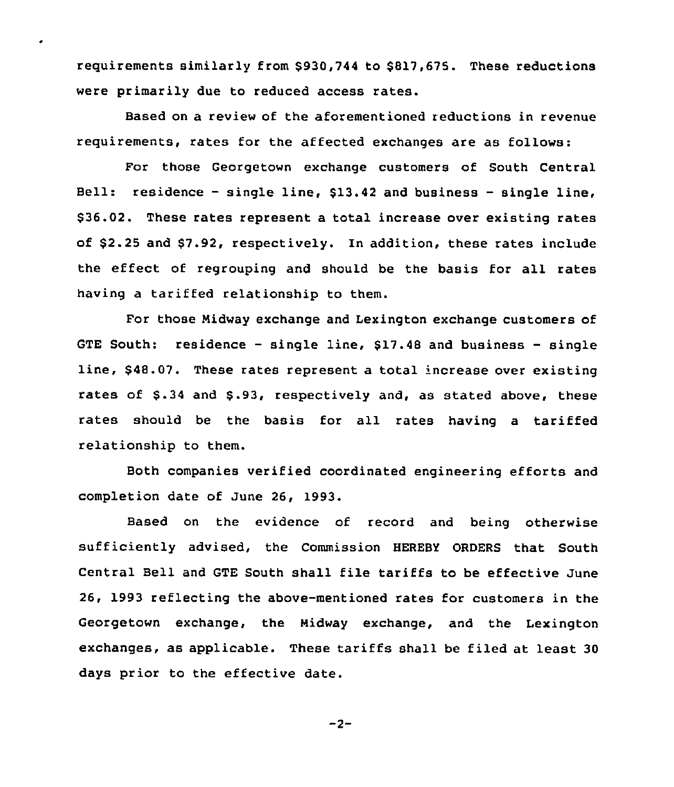requirements similarly from \$930,744 to \$817,675. These reductions were primarily due to reduced access rates.

 $\bullet$ 

Based on a review of the aforementioned reductions in revenue requirements, rates for the affected exchanges are as follows:

For those Georgetown exchange customers of South Central Bell: residence  $-$  single line,  $$13.42$  and business  $-$  single line, \$ 36.02. These rates represent a total increase over existing rates of \$ 2.25 and \$7.92, respectively. In addition, these rates include the effect of regrouping and should be the basis for all rates having a tariffed relationship to them.

For those Nidway exchange and Lexington exchange customers of GTE South: residence — single line, \$17.48 and business — single line, \$48.07. These rates represent a total increase over existing rates of \$.34 and \$.93, respectively and, as stated above, these rates should be the basis for all rates having a tariffed relationship to them.

Both companies verified coordinated engineering efforts and completion date of June 26, 1993.

Based on the evidence of record and being otherwise sufficiently advised, the Commission HEREBY ORDERS that South Central Bell and GTE South shall file tariffs to be effective June 26, 1993 reflecting the above-mentioned rates for customers in the Georgetown exchange, the Midway exchange, and the Lexington exchanges, as applicable. These tariffs shall be filed at least 30 days prior to the effective date.

 $-2-$